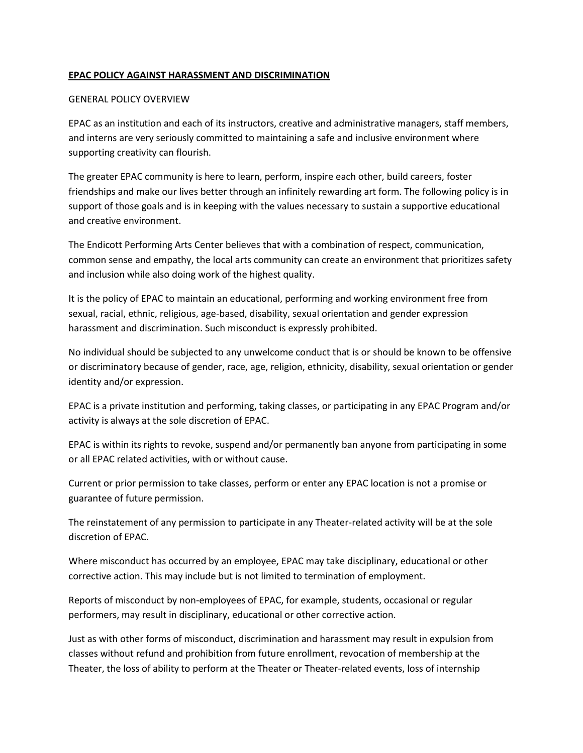## **EPAC POLICY AGAINST HARASSMENT AND DISCRIMINATION**

### GENERAL POLICY OVERVIEW

EPAC as an institution and each of its instructors, creative and administrative managers, staff members, and interns are very seriously committed to maintaining a safe and inclusive environment where supporting creativity can flourish.

The greater EPAC community is here to learn, perform, inspire each other, build careers, foster friendships and make our lives better through an infinitely rewarding art form. The following policy is in support of those goals and is in keeping with the values necessary to sustain a supportive educational and creative environment.

The Endicott Performing Arts Center believes that with a combination of respect, communication, common sense and empathy, the local arts community can create an environment that prioritizes safety and inclusion while also doing work of the highest quality.

It is the policy of EPAC to maintain an educational, performing and working environment free from sexual, racial, ethnic, religious, age-based, disability, sexual orientation and gender expression harassment and discrimination. Such misconduct is expressly prohibited.

No individual should be subjected to any unwelcome conduct that is or should be known to be offensive or discriminatory because of gender, race, age, religion, ethnicity, disability, sexual orientation or gender identity and/or expression.

EPAC is a private institution and performing, taking classes, or participating in any EPAC Program and/or activity is always at the sole discretion of EPAC.

EPAC is within its rights to revoke, suspend and/or permanently ban anyone from participating in some or all EPAC related activities, with or without cause.

Current or prior permission to take classes, perform or enter any EPAC location is not a promise or guarantee of future permission.

The reinstatement of any permission to participate in any Theater-related activity will be at the sole discretion of EPAC.

Where misconduct has occurred by an employee, EPAC may take disciplinary, educational or other corrective action. This may include but is not limited to termination of employment.

Reports of misconduct by non-employees of EPAC, for example, students, occasional or regular performers, may result in disciplinary, educational or other corrective action.

Just as with other forms of misconduct, discrimination and harassment may result in expulsion from classes without refund and prohibition from future enrollment, revocation of membership at the Theater, the loss of ability to perform at the Theater or Theater-related events, loss of internship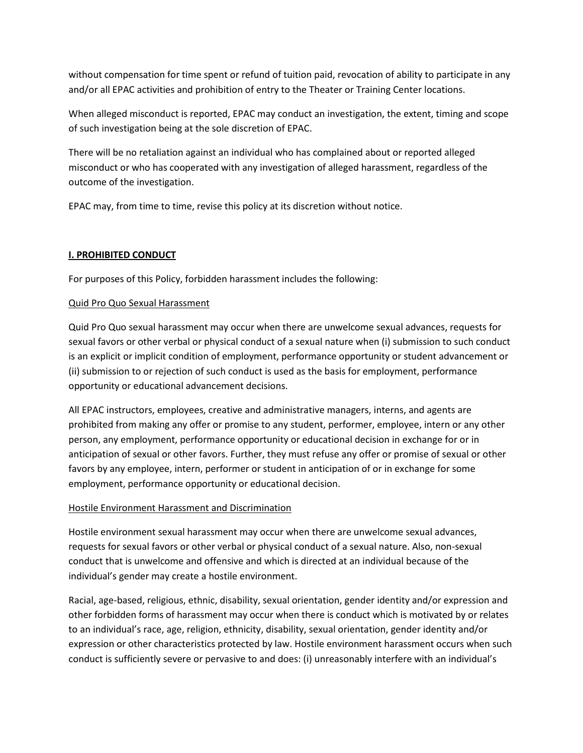without compensation for time spent or refund of tuition paid, revocation of ability to participate in any and/or all EPAC activities and prohibition of entry to the Theater or Training Center locations.

When alleged misconduct is reported, EPAC may conduct an investigation, the extent, timing and scope of such investigation being at the sole discretion of EPAC.

There will be no retaliation against an individual who has complained about or reported alleged misconduct or who has cooperated with any investigation of alleged harassment, regardless of the outcome of the investigation.

EPAC may, from time to time, revise this policy at its discretion without notice.

# **I. PROHIBITED CONDUCT**

For purposes of this Policy, forbidden harassment includes the following:

# Quid Pro Quo Sexual Harassment

Quid Pro Quo sexual harassment may occur when there are unwelcome sexual advances, requests for sexual favors or other verbal or physical conduct of a sexual nature when (i) submission to such conduct is an explicit or implicit condition of employment, performance opportunity or student advancement or (ii) submission to or rejection of such conduct is used as the basis for employment, performance opportunity or educational advancement decisions.

All EPAC instructors, employees, creative and administrative managers, interns, and agents are prohibited from making any offer or promise to any student, performer, employee, intern or any other person, any employment, performance opportunity or educational decision in exchange for or in anticipation of sexual or other favors. Further, they must refuse any offer or promise of sexual or other favors by any employee, intern, performer or student in anticipation of or in exchange for some employment, performance opportunity or educational decision.

### Hostile Environment Harassment and Discrimination

Hostile environment sexual harassment may occur when there are unwelcome sexual advances, requests for sexual favors or other verbal or physical conduct of a sexual nature. Also, non-sexual conduct that is unwelcome and offensive and which is directed at an individual because of the individual's gender may create a hostile environment.

Racial, age-based, religious, ethnic, disability, sexual orientation, gender identity and/or expression and other forbidden forms of harassment may occur when there is conduct which is motivated by or relates to an individual's race, age, religion, ethnicity, disability, sexual orientation, gender identity and/or expression or other characteristics protected by law. Hostile environment harassment occurs when such conduct is sufficiently severe or pervasive to and does: (i) unreasonably interfere with an individual's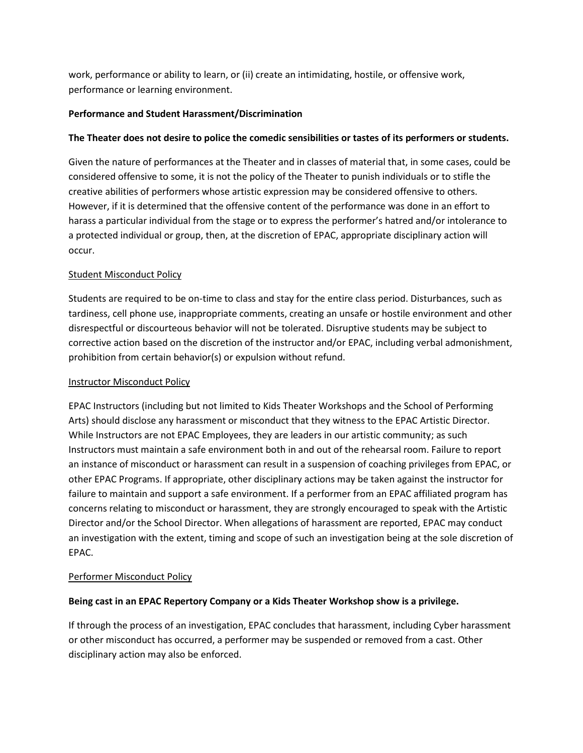work, performance or ability to learn, or (ii) create an intimidating, hostile, or offensive work, performance or learning environment.

# **Performance and Student Harassment/Discrimination**

# **The Theater does not desire to police the comedic sensibilities or tastes of its performers or students.**

Given the nature of performances at the Theater and in classes of material that, in some cases, could be considered offensive to some, it is not the policy of the Theater to punish individuals or to stifle the creative abilities of performers whose artistic expression may be considered offensive to others. However, if it is determined that the offensive content of the performance was done in an effort to harass a particular individual from the stage or to express the performer's hatred and/or intolerance to a protected individual or group, then, at the discretion of EPAC, appropriate disciplinary action will occur.

# Student Misconduct Policy

Students are required to be on-time to class and stay for the entire class period. Disturbances, such as tardiness, cell phone use, inappropriate comments, creating an unsafe or hostile environment and other disrespectful or discourteous behavior will not be tolerated. Disruptive students may be subject to corrective action based on the discretion of the instructor and/or EPAC, including verbal admonishment, prohibition from certain behavior(s) or expulsion without refund.

### **Instructor Misconduct Policy**

EPAC Instructors (including but not limited to Kids Theater Workshops and the School of Performing Arts) should disclose any harassment or misconduct that they witness to the EPAC Artistic Director. While Instructors are not EPAC Employees, they are leaders in our artistic community; as such Instructors must maintain a safe environment both in and out of the rehearsal room. Failure to report an instance of misconduct or harassment can result in a suspension of coaching privileges from EPAC, or other EPAC Programs. If appropriate, other disciplinary actions may be taken against the instructor for failure to maintain and support a safe environment. If a performer from an EPAC affiliated program has concerns relating to misconduct or harassment, they are strongly encouraged to speak with the Artistic Director and/or the School Director. When allegations of harassment are reported, EPAC may conduct an investigation with the extent, timing and scope of such an investigation being at the sole discretion of EPAC.

### Performer Misconduct Policy

### **Being cast in an EPAC Repertory Company or a Kids Theater Workshop show is a privilege.**

If through the process of an investigation, EPAC concludes that harassment, including Cyber harassment or other misconduct has occurred, a performer may be suspended or removed from a cast. Other disciplinary action may also be enforced.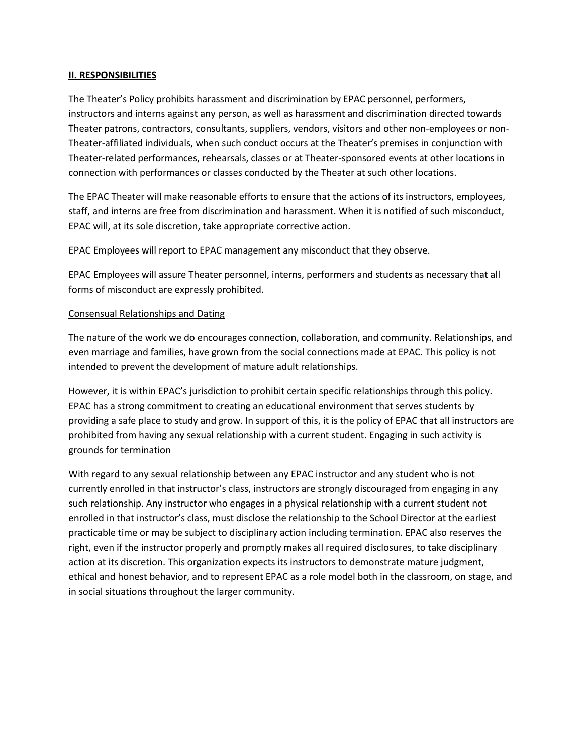#### **II. RESPONSIBILITIES**

The Theater's Policy prohibits harassment and discrimination by EPAC personnel, performers, instructors and interns against any person, as well as harassment and discrimination directed towards Theater patrons, contractors, consultants, suppliers, vendors, visitors and other non-employees or non-Theater-affiliated individuals, when such conduct occurs at the Theater's premises in conjunction with Theater-related performances, rehearsals, classes or at Theater-sponsored events at other locations in connection with performances or classes conducted by the Theater at such other locations.

The EPAC Theater will make reasonable efforts to ensure that the actions of its instructors, employees, staff, and interns are free from discrimination and harassment. When it is notified of such misconduct, EPAC will, at its sole discretion, take appropriate corrective action.

EPAC Employees will report to EPAC management any misconduct that they observe.

EPAC Employees will assure Theater personnel, interns, performers and students as necessary that all forms of misconduct are expressly prohibited.

#### Consensual Relationships and Dating

The nature of the work we do encourages connection, collaboration, and community. Relationships, and even marriage and families, have grown from the social connections made at EPAC. This policy is not intended to prevent the development of mature adult relationships.

However, it is within EPAC's jurisdiction to prohibit certain specific relationships through this policy. EPAC has a strong commitment to creating an educational environment that serves students by providing a safe place to study and grow. In support of this, it is the policy of EPAC that all instructors are prohibited from having any sexual relationship with a current student. Engaging in such activity is grounds for termination

With regard to any sexual relationship between any EPAC instructor and any student who is not currently enrolled in that instructor's class, instructors are strongly discouraged from engaging in any such relationship. Any instructor who engages in a physical relationship with a current student not enrolled in that instructor's class, must disclose the relationship to the School Director at the earliest practicable time or may be subject to disciplinary action including termination. EPAC also reserves the right, even if the instructor properly and promptly makes all required disclosures, to take disciplinary action at its discretion. This organization expects its instructors to demonstrate mature judgment, ethical and honest behavior, and to represent EPAC as a role model both in the classroom, on stage, and in social situations throughout the larger community.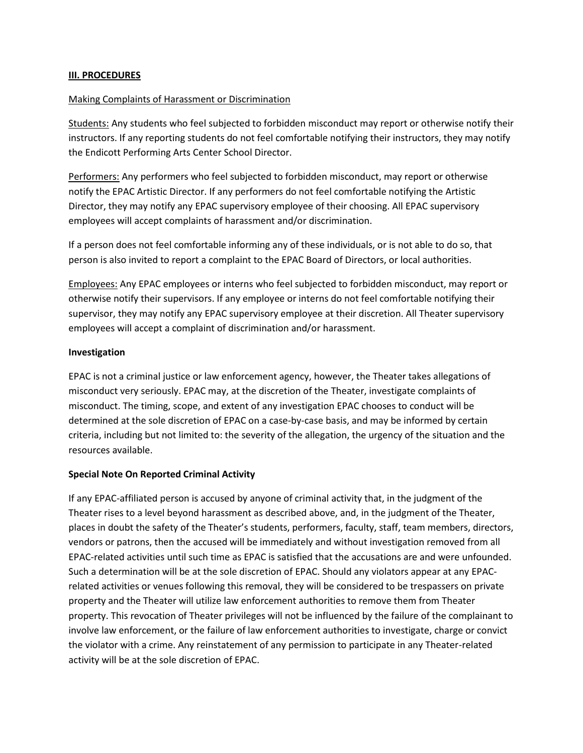#### **III. PROCEDURES**

#### Making Complaints of Harassment or Discrimination

Students: Any students who feel subjected to forbidden misconduct may report or otherwise notify their instructors. If any reporting students do not feel comfortable notifying their instructors, they may notify the Endicott Performing Arts Center School Director.

Performers: Any performers who feel subjected to forbidden misconduct, may report or otherwise notify the EPAC Artistic Director. If any performers do not feel comfortable notifying the Artistic Director, they may notify any EPAC supervisory employee of their choosing. All EPAC supervisory employees will accept complaints of harassment and/or discrimination.

If a person does not feel comfortable informing any of these individuals, or is not able to do so, that person is also invited to report a complaint to the EPAC Board of Directors, or local authorities.

Employees: Any EPAC employees or interns who feel subjected to forbidden misconduct, may report or otherwise notify their supervisors. If any employee or interns do not feel comfortable notifying their supervisor, they may notify any EPAC supervisory employee at their discretion. All Theater supervisory employees will accept a complaint of discrimination and/or harassment.

#### **Investigation**

EPAC is not a criminal justice or law enforcement agency, however, the Theater takes allegations of misconduct very seriously. EPAC may, at the discretion of the Theater, investigate complaints of misconduct. The timing, scope, and extent of any investigation EPAC chooses to conduct will be determined at the sole discretion of EPAC on a case-by-case basis, and may be informed by certain criteria, including but not limited to: the severity of the allegation, the urgency of the situation and the resources available.

### **Special Note On Reported Criminal Activity**

If any EPAC-affiliated person is accused by anyone of criminal activity that, in the judgment of the Theater rises to a level beyond harassment as described above, and, in the judgment of the Theater, places in doubt the safety of the Theater's students, performers, faculty, staff, team members, directors, vendors or patrons, then the accused will be immediately and without investigation removed from all EPAC-related activities until such time as EPAC is satisfied that the accusations are and were unfounded. Such a determination will be at the sole discretion of EPAC. Should any violators appear at any EPACrelated activities or venues following this removal, they will be considered to be trespassers on private property and the Theater will utilize law enforcement authorities to remove them from Theater property. This revocation of Theater privileges will not be influenced by the failure of the complainant to involve law enforcement, or the failure of law enforcement authorities to investigate, charge or convict the violator with a crime. Any reinstatement of any permission to participate in any Theater-related activity will be at the sole discretion of EPAC.